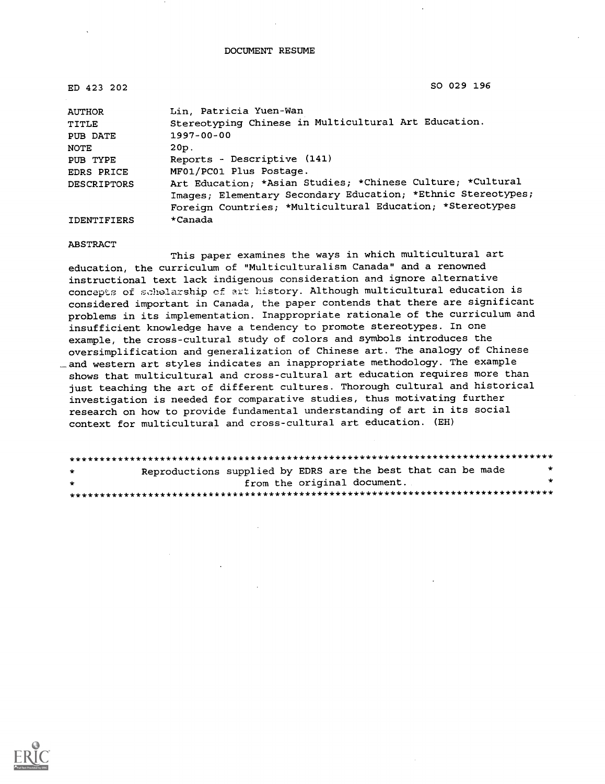| ED 423 202        | SO 029 196                                                   |
|-------------------|--------------------------------------------------------------|
| AUTHOR            | Lin, Patricia Yuen-Wan                                       |
| TITLE             | Stereotyping Chinese in Multicultural Art Education.         |
| PUB DATE          | $1997 - 00 - 00$                                             |
| NOTE              | 20p.                                                         |
| PUB TYPE          | Reports - Descriptive (141)                                  |
| <b>EDRS PRICE</b> | MF01/PC01 Plus Postage.                                      |
| DESCRIPTORS       | Art Education; *Asian Studies; *Chinese Culture; *Cultural   |
|                   | Images; Elementary Secondary Education; *Ethnic Stereotypes; |
|                   | Foreign Countries; *Multicultural Education; *Stereotypes    |
| IDENTIFIERS       | *Canada                                                      |

ABSTRACT

This paper examines the ways in which multicultural art education, the curriculum of "Multiculturalism Canada" and a renowned instructional text lack indigenous consideration and ignore alternative concepts of scholarship of art history. Although multicultural education is considered important in Canada, the paper contends that there are significant problems in its implementation. Inappropriate rationale of the curriculum and insufficient knowledge have a tendency to promote stereotypes. In one example, the cross-cultural study of colors and symbols introduces the oversimplification and generalization of Chinese art. The analogy of Chinese \_and western art styles indicates an inappropriate methodology. The example shows that multicultural and cross-cultural art education requires more than just teaching the art of different cultures. Thorough cultural and historical investigation is needed for comparative studies, thus motivating further research on how to provide fundamental understanding of art in its social context for multicultural and cross-cultural art education. (EH)

\*\*\*\*\*\*\*\*\*\*\*\*\*\*\*\*\*\*\*\*\*\*\*\*\*\*\*\*\*\*\*\*\*\*\*\*\*\*\*\*\*\*\*\*\*\*\*\*\*\*\*\*\*\*\*\*\*\*\*\*\*\*\*\*\*\*\*\*\*\*\*\*\*\*\*\*\*\*\*\* Reproductions supplied by EDRS are the best that can be made from the original document. \*\*\*\*\*\*\*\*\*\*\*\*\*\*\*\*\*\*\*\*\*\*\*\*\*\*\*\*\*\*\*\*\*\*\*\*\*\*\*\*\*\*\*\*\*\*\*\*\*\*\*\*\*\*\*\*\*\*\*\*\*\*\*\*\*\*\*\*\*\*\*\*\*\*\*\*\*\*\*\*

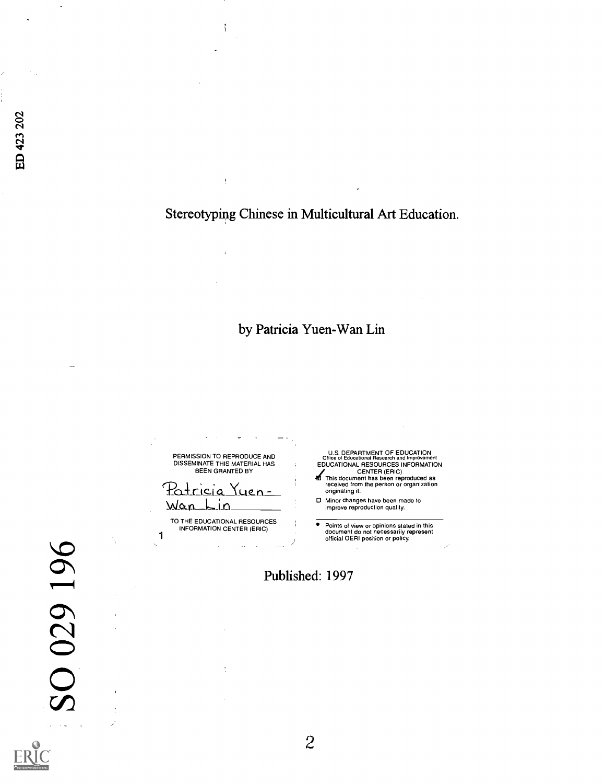Stereotyping Chinese in Multicultural Art Education.

by Patricia Yuen-Wan Lin

U.S. DEPARTMENT OF EDUCATION Office of Educational Research and improvement PERMISSION TO REPRODUCE AND<br>DISSEMINATE THIS MATERIAL HAS<br>BEEN GRANTED BY EDUCATIONAL RESOURCES INFORMATION /CENTER (ERIC) This document has been reproduced as received from the person or organization Patricia <u>Yuen</u> originating it. 0 Minor changes have been made to improve reproduction quality. <u>Wan</u> فللحا TO THE EDUCATIONAL RESOURCES INFORMATION CENTER (ERIC) Points of view or opinions stated in this document do not necessarily represent official OERI position or policy. 1 Published: 1997

ED 423 202

SO 029 196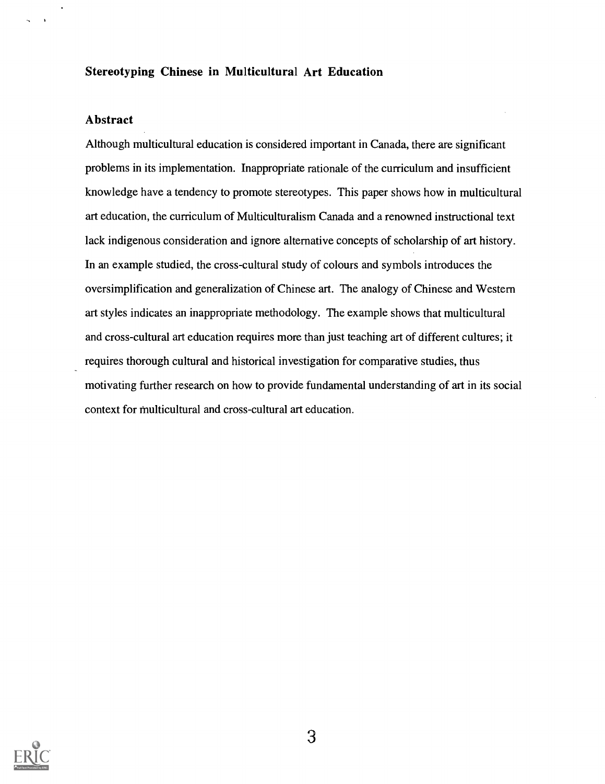#### Stereotyping Chinese in Multicultural Art Education

#### Abstract

Although multicultural education is considered important in Canada, there are significant problems in its implementation. Inappropriate rationale of the curriculum and insufficient knowledge have a tendency to promote stereotypes. This paper shows how in multicultural art education, the curriculum of Multiculturalism Canada and a renowned instructional text lack indigenous consideration and ignore alternative concepts of scholarship of art history. In an example studied, the cross-cultural study of colours and symbols introduces the oversimplification and generalization of Chinese art. The analogy of Chinese and Western art styles indicates an inappropriate methodology. The example shows that multicultural and cross-cultural art education requires more than just teaching art of different cultures; it requires thorough cultural and historical investigation for comparative studies, thus motivating further research on how to provide fundamental understanding of art in its social context for multicultural and cross-cultural art education.

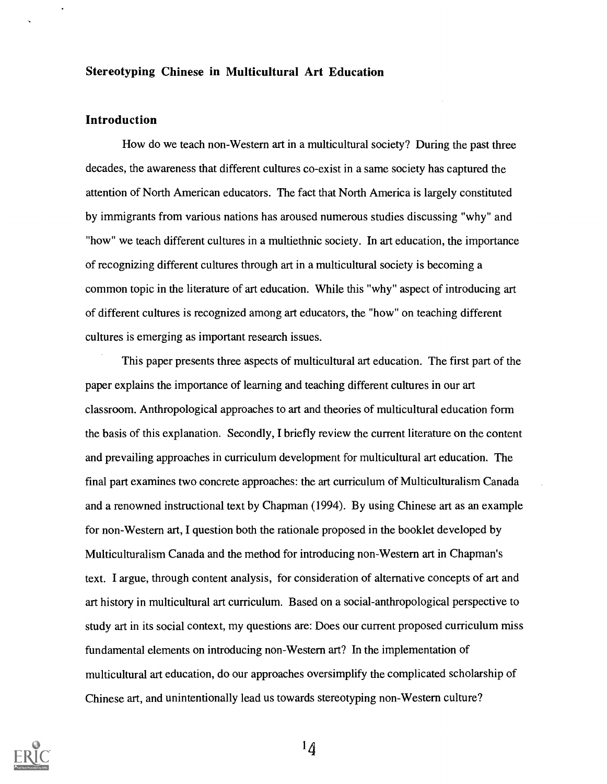#### Stereotyping Chinese in Multicultural Art Education

#### Introduction

How do we teach non-Western art in a multicultural society? During the past three decades, the awareness that different cultures co-exist in a same society has captured the attention of North American educators. The fact that North America is largely constituted by immigrants from various nations has aroused numerous studies discussing "why" and "how" we teach different cultures in a multiethnic society. In art education, the importance of recognizing different cultures through art in a multicultural society is becoming a common topic in the literature of art education. While this "why" aspect of introducing art of different cultures is recognized among art educators, the "how" on teaching different cultures is emerging as important research issues.

This paper presents three aspects of multicultural art education. The first part of the paper explains the importance of learning and teaching different cultures in our art classroom. Anthropological approaches to art and theories of multicultural education form the basis of this explanation. Secondly, I briefly review the current literature on the content and prevailing approaches in curriculum development for multicultural art education. The final part examines two concrete approaches: the art curriculum of Multiculturalism Canada and a renowned instructional text by Chapman (1994). By using Chinese art as an example for non-Western art, I question both the rationale proposed in the booklet developed by Multiculturalism Canada and the method for introducing non-Western art in Chapman's text. I argue, through content analysis, for consideration of alternative concepts of art and art history in multicultural art curriculum. Based on a social-anthropological perspective to study art in its social context, my questions are: Does our current proposed curriculum miss fundamental elements on introducing non-Western art? In the implementation of multicultural art education, do our approaches oversimplify the complicated scholarship of Chinese art, and unintentionally lead us towards stereotyping non-Western culture?

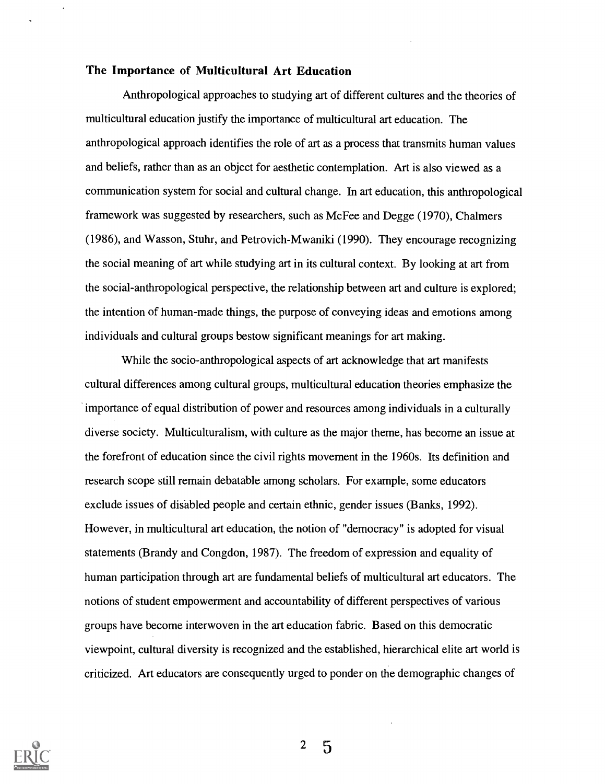### The Importance of Multicultural Art Education

Anthropological approaches to studying art of different cultures and the theories of multicultural education justify the importance of multicultural art education. The anthropological approach identifies the role of art as a process that transmits human values and beliefs, rather than as an object for aesthetic contemplation. Art is also viewed as a communication system for social and cultural change. In art education, this anthropological framework was suggested by researchers, such as Mc Fee and Degge (1970), Chalmers (1986), and Wasson, Stuhr, and Petrovich-Mwaniki (1990). They encourage recognizing the social meaning of art while studying art in its cultural context. By looking at art from the social-anthropological perspective, the relationship between art and culture is explored; the intention of human-made things, the purpose of conveying ideas and emotions among individuals and cultural groups bestow significant meanings for art making.

While the socio-anthropological aspects of art acknowledge that art manifests cultural differences among cultural groups, multicultural education theories emphasize the importance of equal distribution of power and resources among individuals in a culturally diverse society. Multiculturalism, with culture as the major theme, has become an issue at the forefront of education since the civil rights movement in the 1960s. Its definition and research scope still remain debatable among scholars. For example, some educators exclude issues of disabled people and certain ethnic, gender issues (Banks, 1992). However, in multicultural art education, the notion of "democracy" is adopted for visual statements (Brandy and Congdon, 1987). The freedom of expression and equality of human participation through art are fundamental beliefs of multicultural art educators. The notions of student empowennent and accountability of different perspectives of various groups have become interwoven in the art education fabric. Based on this democratic viewpoint, cultural diversity is recognized and the established, hierarchical elite art world is criticized. Art educators are consequently urged to ponder on the demographic changes of

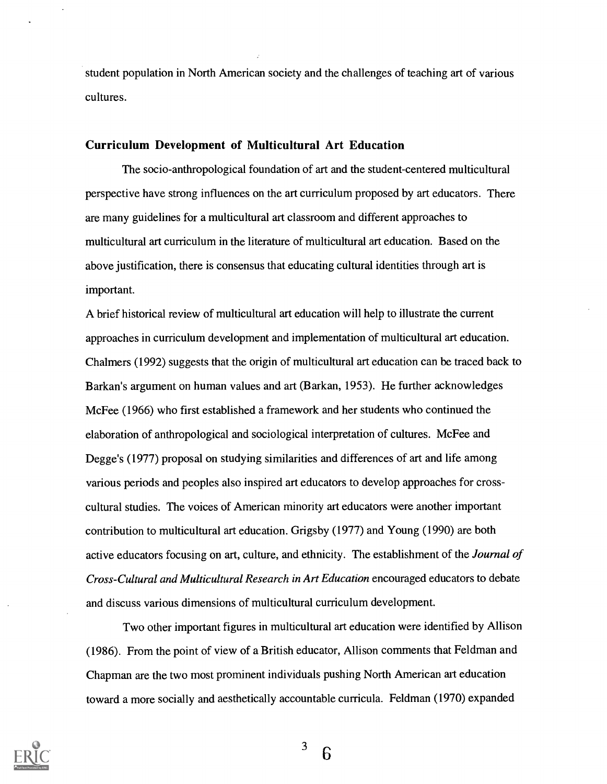student population in North American society and the challenges of teaching art of various cultures.

#### Curriculum Development of Multicultural Art Education

The socio-anthropological foundation of art and the student-centered multicultural perspective have strong influences on the art curriculum proposed by art educators. There are many guidelines for a multicultural art classroom and different approaches to multicultural art curriculum in the literature of multicultural art education. Based on the above justification, there is consensus that educating cultural identities through art is important.

A brief historical review of multicultural art education will help to illustrate the current approaches in curriculum development and implementation of multicultural art education. Chalmers (1992) suggests that the origin of multicultural art education can be traced back to Barkan's argument on human values and art (Barkan, 1953). He further acknowledges Mc Fee (1966) who first established a framework and her students who continued the elaboration of anthropological and sociological interpretation of cultures. Mc Fee and Degge's (1977) proposal on studying similarities and differences of art and life among various periods and peoples also inspired art educators to develop approaches for crosscultural studies. The voices of American minority art educators were another important contribution to multicultural art education. Grigsby (1977) and Young (1990) are both active educators focusing on art, culture, and ethnicity. The establishment of the Journal of Cross-Cultural and Multicultural Research in Art Education encouraged educators to debate and discuss various dimensions of multicultural curriculum development.

Two other important figures in multicultural art education were identified by Allison (1986). From the point of view of a British educator, Allison comments that Feldman and Chapman are the two most prominent individuals pushing North American art education toward a more socially and aesthetically accountable curricula. Feldman (1970) expanded



 $3\overline{6}$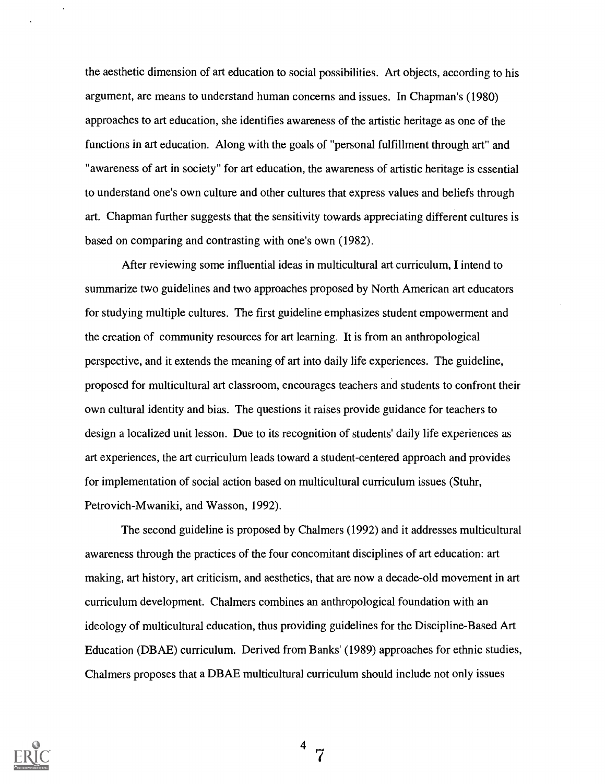the aesthetic dimension of art education to social possibilities. Art objects, according to his argument, are means to understand human concerns and issues. In Chapman's (1980) approaches to art education, she identifies awareness of the artistic heritage as one of the functions in art education. Along with the goals of "personal fulfillment through art" and "awareness of art in society" for art education, the awareness of artistic heritage is essential to understand one's own culture and other cultures that express values and beliefs through art. Chapman further suggests that the sensitivity towards appreciating different cultures is based on comparing and contrasting with one's own (1982).

After reviewing some influential ideas in multicultural art curriculum, I intend to summarize two guidelines and two approaches proposed by North American art educators for studying multiple cultures. The first guideline emphasizes student empowerment and the creation of community resources for art learning. It is from an anthropological perspective, and it extends the meaning of art into daily life experiences. The guideline, proposed for multicultural art classroom, encourages teachers and students to confront their own cultural identity and bias. The questions it raises provide guidance for teachers to design a localized unit lesson. Due to its recognition of students' daily life experiences as art experiences, the art curriculum leads toward a student-centered approach and provides for implementation of social action based on multicultural curriculum issues (Stuhr, Petrovich-Mwaniki, and Wasson, 1992).

The second guideline is proposed by Chalmers (1992) and it addresses multicultural awareness through the practices of the four concomitant disciplines of art education: art making, art history, art criticism, and aesthetics, that are now a decade-old movement in art curriculum development. Chalmers combines an anthropological foundation with an ideology of multicultural education, thus providing guidelines for the Discipline-Based Art Education (DBAE) curriculum. Derived from Banks' (1989) approaches for ethnic studies, Chalmers proposes that a DBAE multicultural curriculum should include not only issues

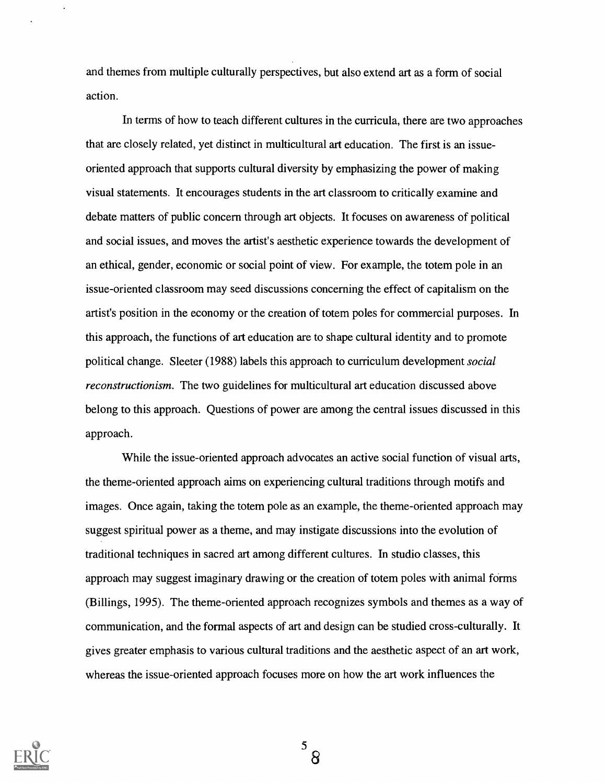and themes from multiple culturally perspectives, but also extend art as a form of social action.

In terms of how to teach different cultures in the curricula, there are two approaches that are closely related, yet distinct in multicultural art education. The first is an issueoriented approach that supports cultural diversity by emphasizing the power of making visual statements. It encourages students in the art classroom to critically examine and debate matters of public concern through art objects. It focuses on awareness of political and social issues, and moves the artist's aesthetic experience towards the development of an ethical, gender, economic or social point of view. For example, the totem pole in an issue-oriented classroom may seed discussions concerning the effect of capitalism on the artist's position in the economy or the creation of totem poles for commercial purposes. In this approach, the functions of art education are to shape cultural identity and to promote political change. Sleeter (1988) labels this approach to curriculum development social reconstructionism. The two guidelines for multicultural art education discussed above belong to this approach. Questions of power are among the central issues discussed in this approach.

While the issue-oriented approach advocates an active social function of visual arts, the theme-oriented approach aims on experiencing cultural traditions through motifs and images. Once again, taking the totem pole as an example, the theme-oriented approach may suggest spiritual power as a theme, and may instigate discussions into the evolution of traditional techniques in sacred art among different cultures. In studio classes, this approach may suggest imaginary drawing or the creation of totem poles with animal forms (Billings, 1995). The theme-oriented approach recognizes symbols and themes as a way of communication, and the formal aspects of art and design can be studied cross-culturally. It gives greater emphasis to various cultural traditions and the aesthetic aspect of an art work, whereas the issue-oriented approach focuses more on how the art work influences the

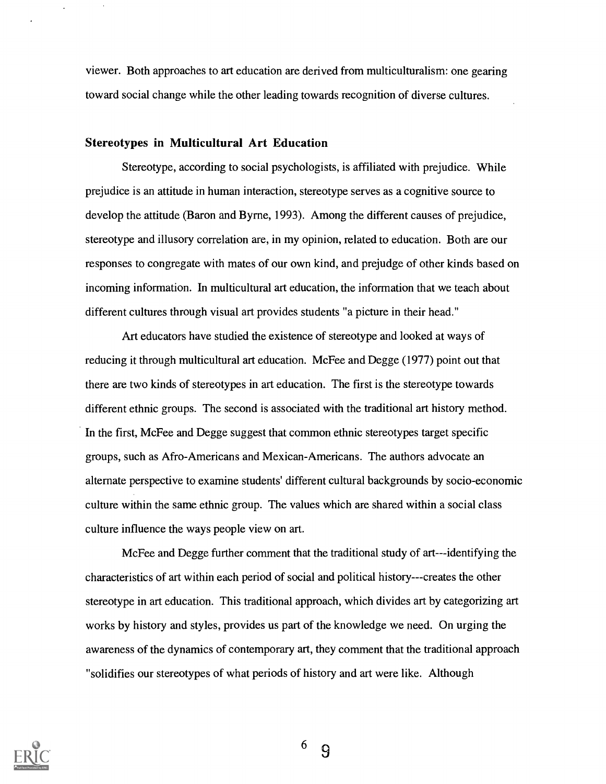viewer. Both approaches to art education are derived from multiculturalism: one gearing toward social change while the other leading towards recognition of diverse cultures.

#### Stereotypes in Multicultural Art Education

Stereotype, according to social psychologists, is affiliated with prejudice. While prejudice is an attitude in human interaction, stereotype serves as a cognitive source to develop the attitude (Baron and Byrne, 1993). Among the different causes of prejudice, stereotype and illusory correlation are, in my opinion, related to education. Both are our responses to congregate with mates of our own kind, and prejudge of other kinds based on incoming information. In multicultural art education, the information that we teach about different cultures through visual art provides students "a picture in their head."

Art educators have studied the existence of stereotype and looked at ways of reducing it through multicultural art education. McFee and Degge (1977) point out that there are two kinds of stereotypes in art education. The first is the stereotype towards different ethnic groups. The second is associated with the traditional art history method. In the first, McFee and Degge suggest that common ethnic stereotypes target specific groups, such as Afro-Americans and Mexican-Americans. The authors advocate an alternate perspective to examine students' different cultural backgrounds by socio-economic culture within the same ethnic group. The values which are shared within a social class culture influence the ways people view on art.

McFee and Degge further comment that the traditional study of art---identifying the characteristics of art within each period of social and political history---creates the other stereotype in art education. This traditional approach, which divides art by categorizing art works by history and styles, provides us part of the knowledge we need. On urging the awareness of the dynamics of contemporary art, they comment that the traditional approach "solidifies our stereotypes of what periods of history and art were like. Although



<sup>6</sup> 9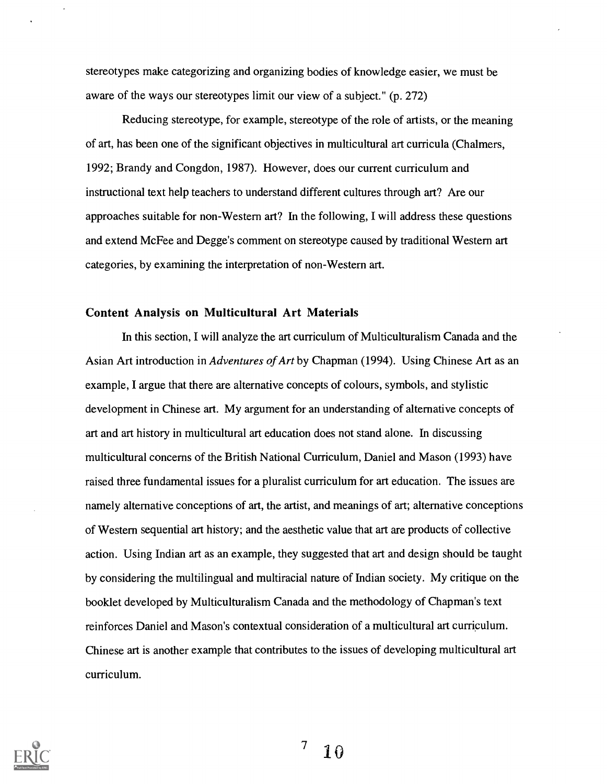stereotypes make categorizing and organizing bodies of knowledge easier, we must be aware of the ways our stereotypes limit our view of a subject." (p. 272)

Reducing stereotype, for example, stereotype of the role of artists, or the meaning of art, has been one of the significant objectives in multicultural art curricula (Chalmers, 1992; Brandy and Congdon, 1987). However, does our current curriculum and instructional text help teachers to understand different cultures through art? Are our approaches suitable for non-Western art? In the following, I will address these questions and extend McFee and Degge's comment on stereotype caused by traditional Western art categories, by examining the interpretation of non-Western art.

#### Content Analysis on Multicultural Art Materials

In this section, I will analyze the art curriculum of Multiculturalism Canada and the Asian Art introduction in Adventures of Art by Chapman (1994). Using Chinese Art as an example, I argue that there are alternative concepts of colours, symbols, and stylistic development in Chinese art. My argument for an understanding of alternative concepts of art and art history in multicultural art education does not stand alone. In discussing multicultural concerns of the British National Curriculum, Daniel and Mason (1993) have raised three fundamental issues for a pluralist curriculum for art education. The issues are namely alternative conceptions of art, the artist, and meanings of art; alternative conceptions of Western sequential art history; and the aesthetic value that art are products of collective action. Using Indian art as an example, they suggested that art and design should be taught by considering the multilingual and multiracial nature of Indian society. My critique on the booklet developed by Multiculturalism Canada and the methodology of Chapman's text reinforces Daniel and Mason's contextual consideration of a multicultural art curriculum. Chinese art is another example that contributes to the issues of developing multicultural art curriculum.



 $\overline{7}$ 10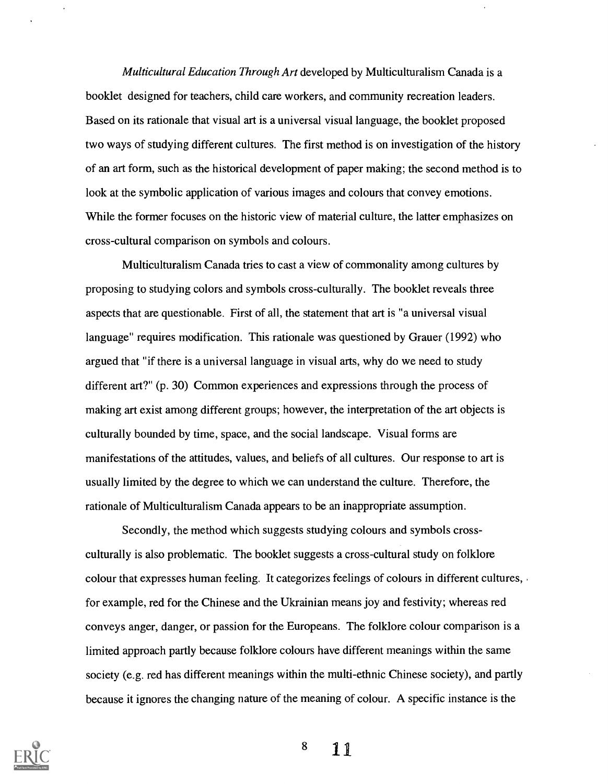Multicultural Education Through Art developed by Multiculturalism Canada is a booklet designed for teachers, child care workers, and community recreation leaders. Based on its rationale that visual art is a universal visual language, the booklet proposed two ways of studying different cultures. The first method is on investigation of the history of an art form, such as the historical development of paper making; the second method is to look at the symbolic application of various images and colours that convey emotions. While the former focuses on the historic view of material culture, the latter emphasizes on cross-cultural comparison on symbols and colours.

Multiculturalism Canada tries to cast a view of commonality among cultures by proposing to studying colors and symbols cross-culturally. The booklet reveals three aspects that are questionable. First of all, the statement that art is "a universal visual language" requires modification. This rationale was questioned by Grauer (1992) who argued that "if there is a universal language in visual arts, why do we need to study different art?" (p. 30) Common experiences and expressions through the process of making art exist among different groups; however, the interpretation of the art objects is culturally bounded by time, space, and the social landscape. Visual forms are manifestations of the attitudes, values, and beliefs of all cultures. Our response to art is usually limited by the degree to which we can understand the culture. Therefore, the rationale of Multiculturalism Canada appears to be an inappropriate assumption.

Secondly, the method which suggests studying colours and symbols crossculturally is also problematic. The booklet suggests a cross-cultural study on folklore colour that expresses human feeling. It categorizes feelings of colours in different cultures, for example, red for the Chinese and the Ukrainian means joy and festivity; whereas red conveys anger, danger, or passion for the Europeans. The folklore colour comparison is a limited approach partly because folklore colours have different meanings within the same society (e.g. red has different meanings within the multi-ethnic Chinese society), and partly because it ignores the changing nature of the meaning of colour. A specific instance is the



 $8 \t 11$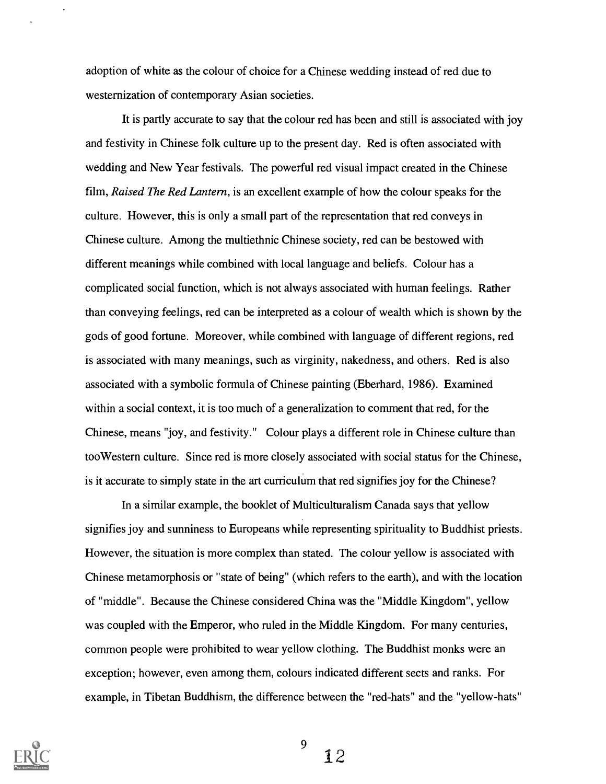adoption of white as the colour of choice for a Chinese wedding instead of red due to westernization of contemporary Asian societies.

It is partly accurate to say that the colour red has been and still is associated with joy and festivity in Chinese folk culture up to the present day. Red is often associated with wedding and New Year festivals. The powerful red visual impact created in the Chinese film, Raised The Red Lantern, is an excellent example of how the colour speaks for the culture. However, this is only a small part of the representation that red conveys in Chinese culture. Among the multiethnic Chinese society, red can be bestowed with different meanings while combined with local language and beliefs. Colour has a complicated social function, which is not always associated with human feelings. Rather than conveying feelings, red can be interpreted as a colour of wealth which is shown by the gods of good fortune. Moreover, while combined with language of different regions, red is associated with many meanings, such as virginity, nakedness, and others. Red is also associated with a symbolic formula of Chinese painting (Eberhard, 1986). Examined within a social context, it is too much of a generalization to comment that red, for the Chinese, means "joy, and festivity." Colour plays a different role in Chinese culture than tooWestern culture. Since red is more closely associated with social status for the Chinese, is it accurate to simply state in the art curriculum that red signifies joy for the Chinese?

In a similar example, the booklet of Multiculturalism Canada says that yellow signifies joy and sunniness to Europeans while representing spirituality to Buddhist priests. However, the situation is more complex than stated. The colour yellow is associated with Chinese metamorphosis or "state of being" (which refers to the earth), and with the location of "middle". Because the Chinese considered China was the "Middle Kingdom", yellow was coupled with the Emperor, who ruled in the Middle Kingdom. For many centuries, common people were prohibited to wear yellow clothing. The Buddhist monks were an exception; however, even among them, colours indicated different sects and ranks. For example, in Tibetan Buddhism, the difference between the "red-hats" and the "yellow-hats"



9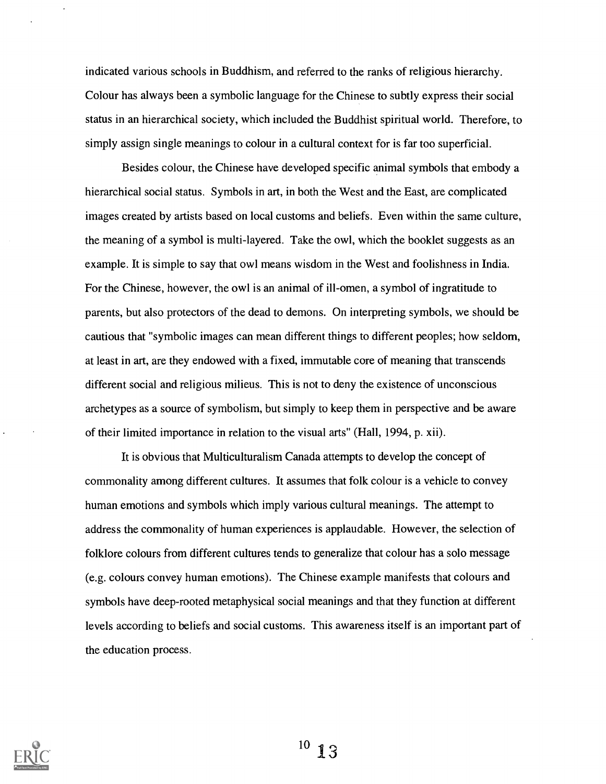indicated various schools in Buddhism, and referred to the ranks of religious hierarchy. Colour has always been a symbolic language for the Chinese to subtly express their social status in an hierarchical society, which included the Buddhist spiritual world. Therefore, to simply assign single meanings to colour in a cultural context for is far too superficial.

Besides colour, the Chinese have developed specific animal symbols that embody a hierarchical social status. Symbols in art, in both the West and the East, are complicated images created by artists based on local customs and beliefs. Even within the same culture, the meaning of a symbol is multi-layered. Take the owl, which the booklet suggests as an example. It is simple to say that owl means wisdom in the West and foolishness in India. For the Chinese, however, the owl is an animal of ill-omen, a symbol of ingratitude to parents, but also protectors of the dead to demons. On interpreting symbols, we should be cautious that "symbolic images can mean different things to different peoples; how seldom, at least in art, are they endowed with a fixed, immutable core of meaning that transcends different social and religious milieus. This is not to deny the existence of unconscious archetypes as a source of symbolism, but simply to keep them in perspective and be aware of their limited importance in relation to the visual arts" (Hall, 1994, p. xii).

It is obvious that Multiculturalism Canada attempts to develop the concept of commonality among different cultures. It assumes that folk colour is a vehicle to convey human emotions and symbols which imply various cultural meanings. The attempt to address the commonality of human experiences is applaudable. However, the selection of folklore colours from different cultures tends to generalize that colour has a solo message (e.g. colours convey human emotions). The Chinese example manifests that colours and symbols have deep-rooted metaphysical social meanings and that they function at different levels according to beliefs and social customs. This awareness itself is an important part of the education process.

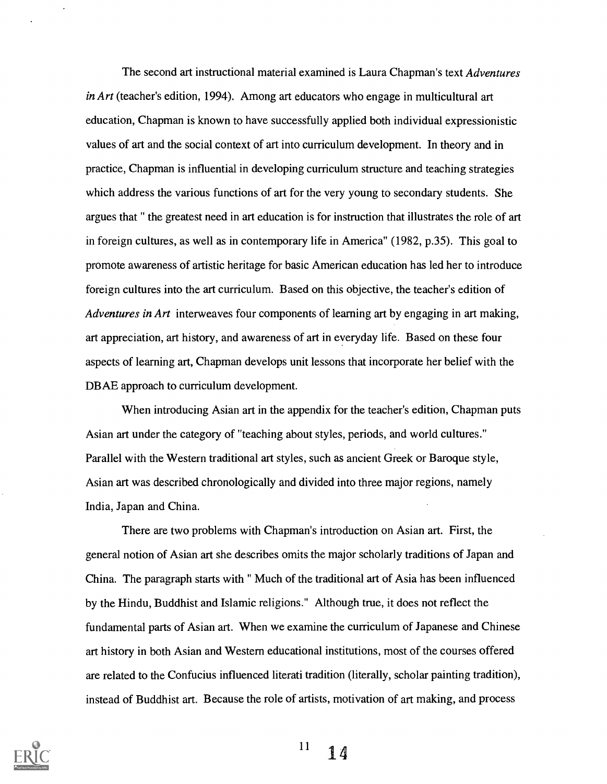The second art instructional material examined is Laura Chapman's text Adventures in Art (teacher's edition, 1994). Among art educators who engage in multicultural art education, Chapman is known to have successfully applied both individual expressionistic values of art and the social context of art into curriculum development. In theory and in practice, Chapman is influential in developing curriculum structure and teaching strategies which address the various functions of art for the very young to secondary students. She argues that " the greatest need in art education is for instruction that illustrates the role of art in foreign cultures, as well as in contemporary life in America" (1982, p.35). This goal to promote awareness of artistic heritage for basic American education has led her to introduce foreign cultures into the art curriculum. Based on this objective, the teacher's edition of Adventures in Art interweaves four components of learning art by engaging in art making, art appreciation, art history, and awareness of art in everyday life. Based on these four aspects of learning art, Chapman develops unit lessons that incorporate her belief with the DBAE approach to curriculum development.

When introducing Asian art in the appendix for the teacher's edition, Chapman puts Asian art under the category of "teaching about styles, periods, and world cultures." Parallel with the Western traditional art styles, such as ancient Greek or Baroque style, Asian art was described chronologically and divided into three major regions, namely India, Japan and China.

There are two problems with Chapman's introduction on Asian art. First, the general notion of Asian art she describes omits the major scholarly traditions of Japan and China. The paragraph starts with " Much of the traditional art of Asia has been influenced by the Hindu, Buddhist and Islamic religions." Although true, it does not reflect the fundamental parts of Asian art. When we examine the curriculum of Japanese and Chinese art history in both Asian and Western educational institutions, most of the courses offered are related to the Confucius influenced literati tradition (literally, scholar painting tradition), instead of Buddhist art. Because the role of artists, motivation of art making, and process



 $^{11}$  14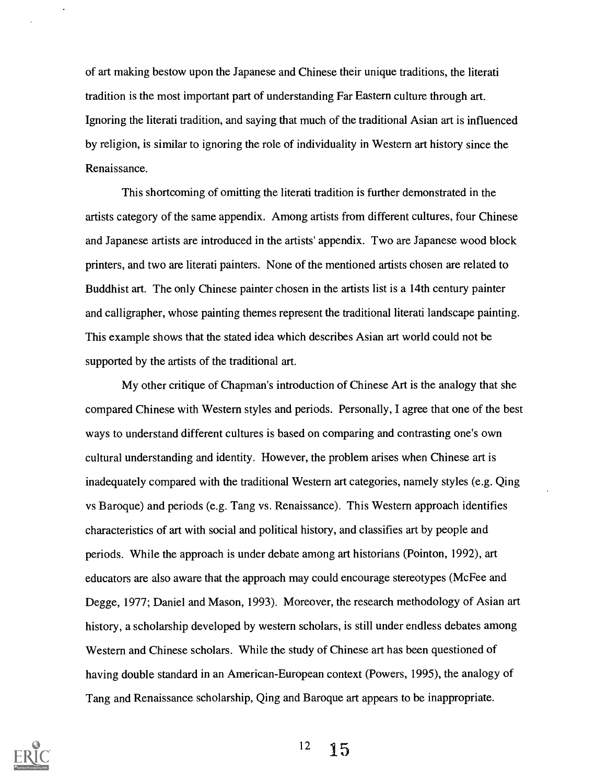of art making bestow upon the Japanese and Chinese their unique traditions, the literati tradition is the most important part of understanding Far Eastern culture through art. Ignoring the literati tradition, and saying that much of the traditional Asian art is influenced by religion, is similar to ignoring the role of individuality in Western art history since the Renaissance.

This shortcoming of omitting the literati tradition is further demonstrated in the artists category of the same appendix. Among artists from different cultures, four Chinese and Japanese artists are introduced in the artists' appendix. Two are Japanese wood block printers, and two are literati painters. None of the mentioned artists chosen are related to Buddhist art. The only Chinese painter chosen in the artists list is a 14th century painter and calligrapher, whose painting themes represent the traditional literati landscape painting. This example shows that the stated idea which describes Asian art world could not be supported by the artists of the traditional art.

My other critique of Chapman's introduction of Chinese Art is the analogy that she compared Chinese with Western styles and periods. Personally, I agree that one of the best ways to understand different cultures is based on comparing and contrasting one's own cultural understanding and identity. However, the problem arises when Chinese art is inadequately compared with the traditional Western art categories, namely styles (e.g. Qing vs Baroque) and periods (e.g. Tang vs. Renaissance). This Western approach identifies characteristics of art with social and political history, and classifies art by people and periods. While the approach is under debate among art historians (Pointon, 1992), art educators are also aware that the approach may could encourage stereotypes (Mc Fee and Degge, 1977; Daniel and Mason, 1993). Moreover, the research methodology of Asian art history, a scholarship developed by western scholars, is still under endless debates among Western and Chinese scholars. While the study of Chinese art has been questioned of having double standard in an American-European context (Powers, 1995), the analogy of Tang and Renaissance scholarship, Qing and Baroque art appears to be inappropriate.

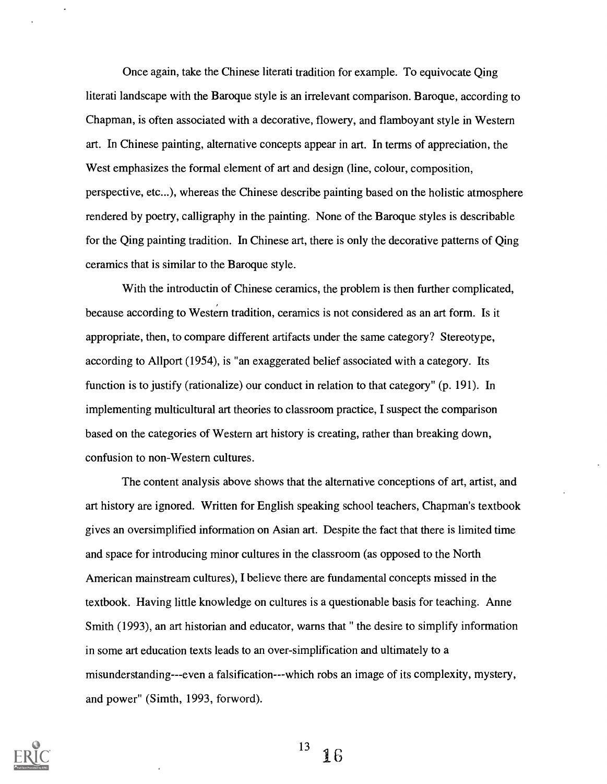Once again, take the Chinese literati tradition for example. To equivocate Qing literati landscape with the Baroque style is an irrelevant comparison. Baroque, according to Chapman, is often associated with a decorative, flowery, and flamboyant style in Western art. In Chinese painting, alternative concepts appear in art. In terms of appreciation, the West emphasizes the formal element of art and design (line, colour, composition, perspective, etc...), whereas the Chinese describe painting based on the holistic atmosphere rendered by poetry, calligraphy in the painting. None of the Baroque styles is describable for the Qing painting tradition. In Chinese art, there is only the decorative patterns of Qing ceramics that is similar to the Baroque style.

With the introductin of Chinese ceramics, the problem is then further complicated, because according to Western tradition, ceramics is not considered as an art form. Is it appropriate, then, to compare different artifacts under the same category? Stereotype, according to Allport (1954), is "an exaggerated belief associated with a category. Its function is to justify (rationalize) our conduct in relation to that category" (p. 191). In implementing multicultural art theories to classroom practice, I suspect the comparison based on the categories of Western art history is creating, rather than breaking down, confusion to non-Western cultures.

The content analysis above shows that the alternative conceptions of art, artist, and art history are ignored. Written for English speaking school teachers, Chapman's textbook gives an oversimplified information on Asian art. Despite the fact that there is limited time and space for introducing minor cultures in the classroom (as opposed to the North American mainstream cultures), I believe there are fundamental concepts missed in the textbook. Having little knowledge on cultures is a questionable basis for teaching. Anne Smith (1993), an art historian and educator, warns that " the desire to simplify information in some art education texts leads to an over-simplification and ultimately to a misunderstanding---even a falsification---which robs an image of its complexity, mystery, and power" (Simth, 1993, forword).

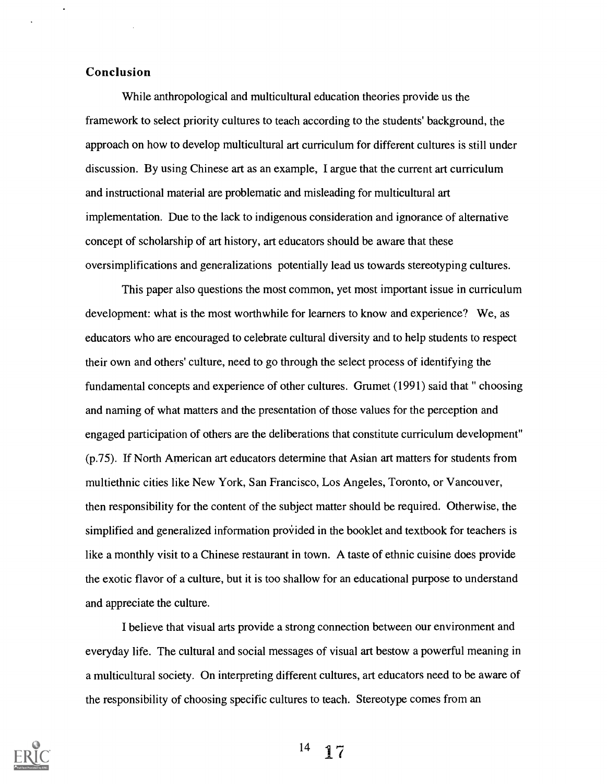## Conclusion

While anthropological and multicultural education theories provide us the framework to select priority cultures to teach according to the students' background, the approach on how to develop multicultural art curriculum for different cultures is still under discussion. By using Chinese art as an example, I argue that the current art curriculum and instructional material are problematic and misleading for multicultural art implementation. Due to the lack to indigenous consideration and ignorance of alternative concept of scholarship of art history, art educators should be aware that these oversimplifications and generalizations potentially lead us towards stereotyping cultures.

This paper also questions the most common, yet most important issue in curriculum development: what is the most worthwhile for learners to know and experience? We, as educators who are encouraged to celebrate cultural diversity and to help students to respect their own and others' culture, need to go through the select process of identifying the fundamental concepts and experience of other cultures. Grumet (1991) said that " choosing and naming of what matters and the presentation of those values for the perception and engaged participation of others are the deliberations that constitute curriculum development" (p.75). If North American art educators determine that Asian art matters for students from multiethnic cities like New York, San Francisco, Los Angeles, Toronto, or Vancouver, then responsibility for the content of the subject matter should be required. Otherwise, the simplified and generalized information provided in the booklet and textbook for teachers is like a monthly visit to a Chinese restaurant in town. A taste of ethnic cuisine does provide the exotic flavor of a culture, but it is too shallow for an educational purpose to understand and appreciate the culture.

I believe that visual arts provide a strong connection between our environment and everyday life. The cultural and social messages of visual art bestow a powerful meaning in a multicultural society. On interpreting different cultures, art educators need to be aware of the responsibility of choosing specific cultures to teach. Stereotype comes from an

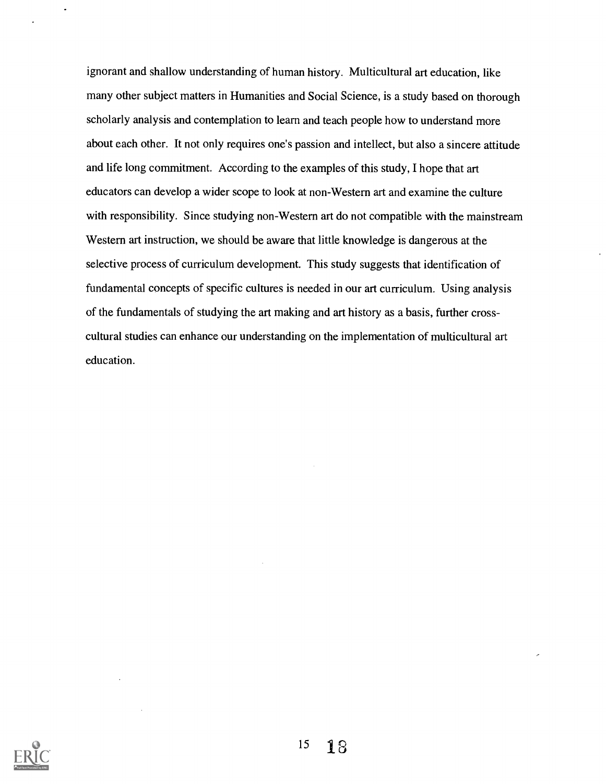ignorant and shallow understanding of human history. Multicultural art education, like many other subject matters in Humanities and Social Science, is a study based on thorough scholarly analysis and contemplation to learn and teach people how to understand more about each other. It not only requires one's passion and intellect, but also a sincere attitude and life long commitment. According to the examples of this study, I hope that art educators can develop a wider scope to look at non-Western art and examine the culture with responsibility. Since studying non-Western art do not compatible with the mainstream Western art instruction, we should be aware that little knowledge is dangerous at the selective process of curriculum development. This study suggests that identification of fundamental concepts of specific cultures is needed in our art curriculum. Using analysis of the fundamentals of studying the art making and art history as a basis, further crosscultural studies can enhance our understanding on the implementation of multicultural art education.

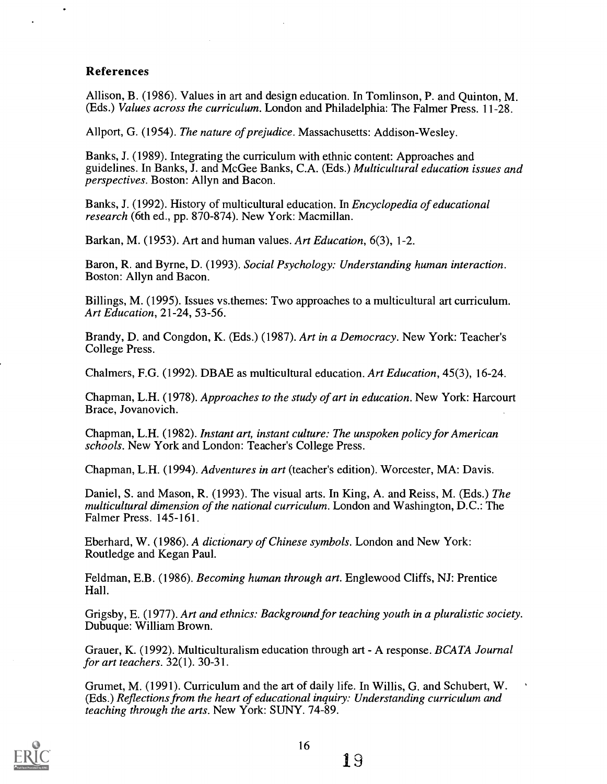## References

Allison, B. (1986). Values in art and design education. In Tomlinson, P. and Quinton, M. (Eds.) Values across the curriculum. London and Philadelphia: The Falmer Press. 11-28.

Allport, G. (1954). The nature of prejudice. Massachusetts: Addison-Wesley.

Banks, J. (1989). Integrating the curriculum with ethnic content: Approaches and guidelines. In Banks, J. and McGee Banks, C.A. (Eds.) Multicultural education issues and perspectives. Boston: Allyn and Bacon.

Banks, J. (1992). History of multicultural education. In *Encyclopedia of educational* research (6th ed., pp. 870-874). New York: Macmillan.

Barkan, M. (1953). Art and human values. Art Education, 6(3), 1-2.

Baron, R. and Byrne, D. (1993). Social Psychology: Understanding human interaction. Boston: Allyn and Bacon.

Billings, M. (1995). Issues vs.themes: Two approaches to a multicultural art curriculum. Art Education, 21-24, 53-56.

Brandy, D. and Congdon, K. (Eds.) (1987). Art in a Democracy. New York: Teacher's College Press.

Chalmers, F.G. (1992). DBAE as multicultural education. Art Education, 45(3), 16-24.

Chapman, L.H. (1978). Approaches to the study of art in education. New York: Harcourt Brace, Jovanovich.

Chapman, L.H. (1982). Instant art, instant culture: The unspoken policy for American schools. New York and London: Teacher's College Press.

Chapman, L.H. (1994). Adventures in art (teacher's edition). Worcester, MA: Davis.

Daniel, S. and Mason, R. (1993). The visual arts. In King, A. and Reiss, M. (Eds.) The multicultural dimension of the national curriculum. London and Washington, D.C.: The Falmer Press. 145-161.

Eberhard, W. (1986). A dictionary of Chinese symbols. London and New York: Routledge and Kegan Paul.

Feldman, E.B. (1986). Becoming human through art. Englewood Cliffs, NJ: Prentice Hall.

Grigsby, E. (1977). Art and ethnics: Background for teaching youth in a pluralistic society. Dubuque: William Brown.

Grauer, K. (1992). Multiculturalism education through art - A response. BCATA Journal for art teachers. 32(1). 30-31.

Grumet, M. (1991). Curriculum and the art of daily life. In Willis, G. and Schubert, W. (Eds.) Reflections from the heart of educational inquiry: Understanding curriculum and teaching through the arts. New York: SUNY. 74-89.

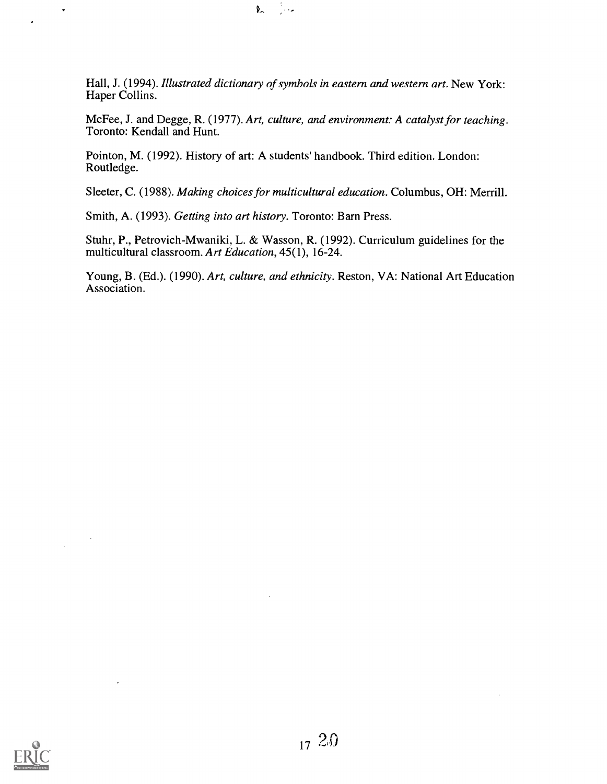Hall, J. (1994). Illustrated dictionary of symbols in eastern and western art. New York: Haper Collins.

∬era

 $\mathbf{V}$ 

McFee, J. and Degge, R. (1977). Art, culture, and environment: A catalyst for teaching. Toronto: Kendall and Hunt.

Pointon, M. (1992). History of art: A students' handbook. Third edition. London: Routledge.

Sleeter, C. (1988). Making choices for multicultural education. Columbus, OH: Merrill.

Smith, A. (1993). Getting into art history. Toronto: Barn Press.

Stuhr, P., Petrovich-Mwaniki, L. & Wasson, R. (1992). Curriculum guidelines for the multicultural classroom. Art Education, 45(1), 16-24.

Young, B. (Ed.). (1990). Art, culture, and ethnicity. Reston, VA: National Art Education Association.



 $\sim$ 

 $\ddot{\phantom{0}}$